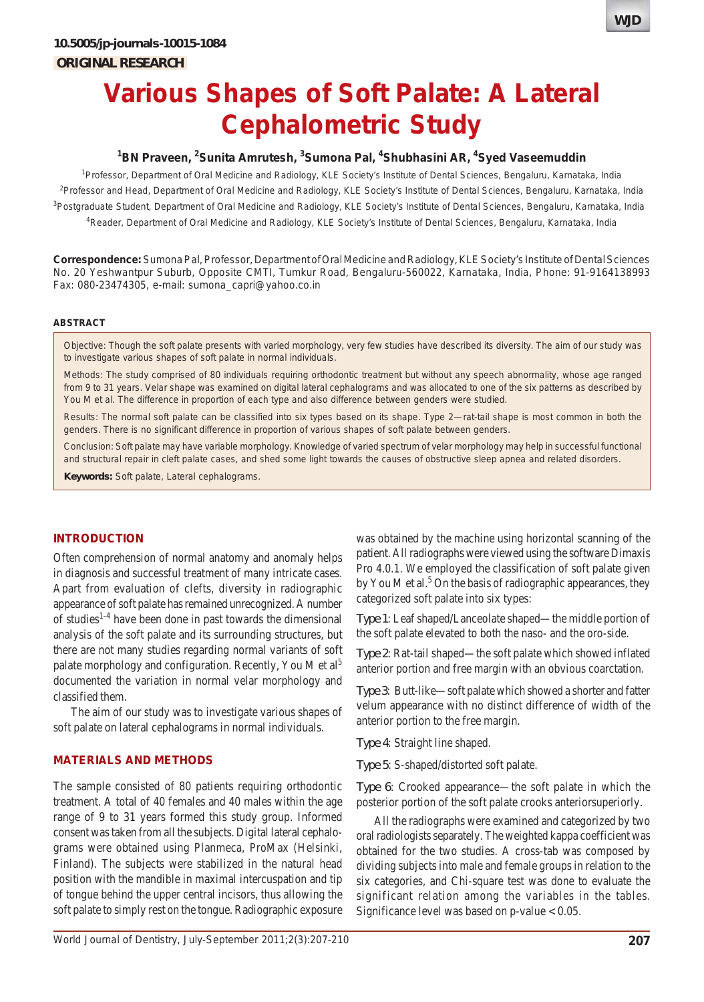

# <sup>1</sup>BN Praveen, <sup>2</sup>Sunita Amrutesh, <sup>3</sup>Sumona Pal, <sup>4</sup>Shubhasini AR, <sup>4</sup>Syed Vaseemuddin

<sup>1</sup>Professor, Department of Oral Medicine and Radiology, KLE Society's Institute of Dental Sciences, Bengaluru, Karnataka, India <sup>2</sup>Professor and Head, Department of Oral Medicine and Radiology, KLE Society's Institute of Dental Sciences, Bengaluru, Karnataka, India <sup>3</sup>Postgraduate Student, Department of Oral Medicine and Radiology, KLE Society's Institute of Dental Sciences, Bengaluru, Karnataka, India 4 Reader, Department of Oral Medicine and Radiology, KLE Society's Institute of Dental Sciences, Bengaluru, Karnataka, India

**Correspondence:** Sumona Pal, Professor, Department of Oral Medicine and Radiology, KLE Society's Institute of Dental Sciences No. 20 Yeshwantpur Suburb, Opposite CMTI, Tumkur Road, Bengaluru-560022, Karnataka, India, Phone: 91-9164138993 Fax: 080-23474305, e-mail: sumona\_capri@yahoo.co.in

### **ABSTRACT**

*Objective*: Though the soft palate presents with varied morphology, very few studies have described its diversity. The aim of our study was to investigate various shapes of soft palate in normal individuals.

*Methods*: The study comprised of 80 individuals requiring orthodontic treatment but without any speech abnormality, whose age ranged from 9 to 31 years. Velar shape was examined on digital lateral cephalograms and was allocated to one of the six patterns as described by You M et al. The difference in proportion of each type and also difference between genders were studied.

*Results*: The normal soft palate can be classified into six types based on its shape. Type 2—rat-tail shape is most common in both the genders. There is no significant difference in proportion of various shapes of soft palate between genders.

*Conclusion*: Soft palate may have variable morphology. Knowledge of varied spectrum of velar morphology may help in successful functional and structural repair in cleft palate cases, and shed some light towards the causes of obstructive sleep apnea and related disorders.

**Keywords:** Soft palate, Lateral cephalograms.

## **INTRODUCTION**

Often comprehension of normal anatomy and anomaly helps in diagnosis and successful treatment of many intricate cases. Apart from evaluation of clefts, diversity in radiographic appearance of soft palate has remained unrecognized. A number of studies1-4 have been done in past towards the dimensional analysis of the soft palate and its surrounding structures, but there are not many studies regarding normal variants of soft palate morphology and configuration. Recently, You M et al<sup>5</sup> documented the variation in normal velar morphology and classified them.

The aim of our study was to investigate various shapes of soft palate on lateral cephalograms in normal individuals.

## **MATERIALS AND METHODS**

The sample consisted of 80 patients requiring orthodontic treatment. A total of 40 females and 40 males within the age range of 9 to 31 years formed this study group. Informed consent was taken from all the subjects. Digital lateral cephalograms were obtained using Planmeca, ProMax (Helsinki, Finland). The subjects were stabilized in the natural head position with the mandible in maximal intercuspation and tip of tongue behind the upper central incisors, thus allowing the soft palate to simply rest on the tongue. Radiographic exposure

was obtained by the machine using horizontal scanning of the patient. All radiographs were viewed using the software Dimaxis Pro 4.0.1. We employed the classification of soft palate given by You M et al.<sup>5</sup> On the basis of radiographic appearances, they categorized soft palate into six types:

*Type 1*: Leaf shaped/Lanceolate shaped—the middle portion of the soft palate elevated to both the naso- and the oro-side.

*Type 2*: Rat-tail shaped—the soft palate which showed inflated anterior portion and free margin with an obvious coarctation.

*Type 3*: Butt-like—soft palate which showed a shorter and fatter velum appearance with no distinct difference of width of the anterior portion to the free margin.

*Type 4*: Straight line shaped.

*Type 5*: S-shaped/distorted soft palate.

*Type 6*: Crooked appearance—the soft palate in which the posterior portion of the soft palate crooks anteriorsuperiorly.

All the radiographs were examined and categorized by two oral radiologists separately. The weighted kappa coefficient was obtained for the two studies. A cross-tab was composed by dividing subjects into male and female groups in relation to the six categories, and Chi-square test was done to evaluate the significant relation among the variables in the tables. Significance level was based on  $p$ -value  $< 0.05$ .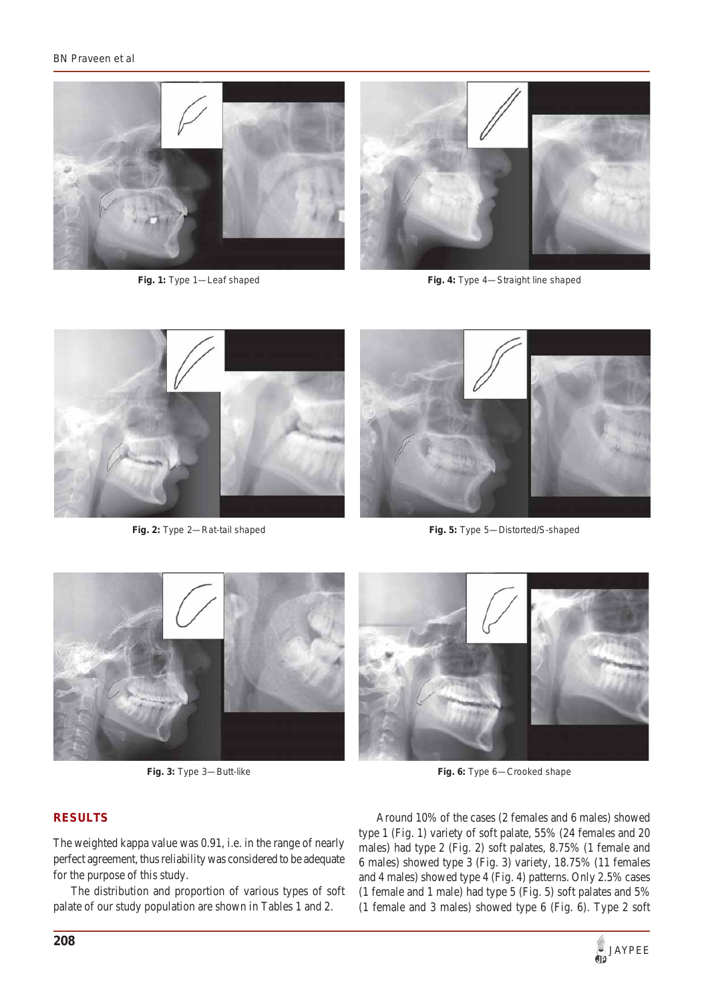### *BN Praveen et al*



**Fig. 1:** Type 1—Leaf shaped

**Fig. 4:** Type 4—Straight line shaped



**Fig. 2:** Type 2—Rat-tail shaped



**Fig. 5:** Type 5—Distorted/S-shaped



**Fig. 3:** Type 3—Butt-like



# **RESULTS**

The weighted kappa value was 0.91, i.e. in the range of nearly perfect agreement, thus reliability was considered to be adequate for the purpose of this study.

The distribution and proportion of various types of soft palate of our study population are shown in Tables 1 and 2.

Around 10% of the cases (2 females and 6 males) showed type 1 (Fig. 1) variety of soft palate, 55% (24 females and 20 males) had type 2 (Fig. 2) soft palates, 8.75% (1 female and 6 males) showed type 3 (Fig. 3) variety, 18.75% (11 females and 4 males) showed type 4 (Fig. 4) patterns. Only 2.5% cases (1 female and 1 male) had type 5 (Fig. 5) soft palates and 5% (1 female and 3 males) showed type 6 (Fig. 6). Type 2 soft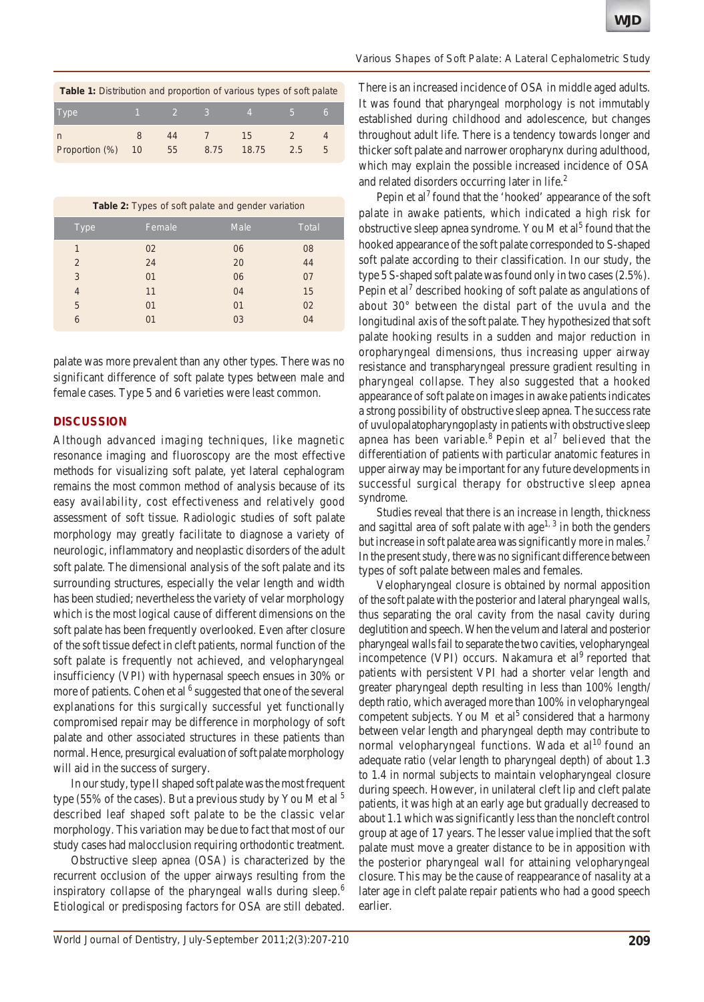| <b>Table 1:</b> Distribution and proportion of various types of soft palate |   |                                             |      |                 |       |   |  |
|-----------------------------------------------------------------------------|---|---------------------------------------------|------|-----------------|-------|---|--|
| Type                                                                        |   | $\begin{array}{cccc} 1 & 2 & 3 \end{array}$ |      | $\sim$ 4 $\sim$ | $-5-$ | 6 |  |
|                                                                             | 8 | 44                                          |      | 15              |       |   |  |
| Proportion (%) 10                                                           |   | 55                                          | 8.75 | 18.75           | 2.5   |   |  |

|  |  |  |  |  |  | Table 2: Types of soft palate and gender variation |
|--|--|--|--|--|--|----------------------------------------------------|
|--|--|--|--|--|--|----------------------------------------------------|

| <b>Type</b> | Female | Male | <b>Total</b> |
|-------------|--------|------|--------------|
| 1           | 02     | 06   | 08           |
| 2           | 24     | 20   | 44           |
| 3           | 01     | 06   | 07           |
| 4           | 11     | 04   | 15           |
| 5           | 01     | 01   | 02           |
| 6           | 01     | 03   | 04           |

palate was more prevalent than any other types. There was no significant difference of soft palate types between male and female cases. Type 5 and 6 varieties were least common.

## **DISCUSSION**

Although advanced imaging techniques, like magnetic resonance imaging and fluoroscopy are the most effective methods for visualizing soft palate, yet lateral cephalogram remains the most common method of analysis because of its easy availability, cost effectiveness and relatively good assessment of soft tissue. Radiologic studies of soft palate morphology may greatly facilitate to diagnose a variety of neurologic, inflammatory and neoplastic disorders of the adult soft palate. The dimensional analysis of the soft palate and its surrounding structures, especially the velar length and width has been studied; nevertheless the variety of velar morphology which is the most logical cause of different dimensions on the soft palate has been frequently overlooked. Even after closure of the soft tissue defect in cleft patients, normal function of the soft palate is frequently not achieved, and velopharyngeal insufficiency (VPI) with hypernasal speech ensues in 30% or more of patients. Cohen et al <sup>6</sup> suggested that one of the several explanations for this surgically successful yet functionally compromised repair may be difference in morphology of soft palate and other associated structures in these patients than normal. Hence, presurgical evaluation of soft palate morphology will aid in the success of surgery.

In our study, type II shaped soft palate was the most frequent type (55% of the cases). But a previous study by You M et al  $<sup>5</sup>$ </sup> described leaf shaped soft palate to be the classic velar morphology. This variation may be due to fact that most of our study cases had malocclusion requiring orthodontic treatment.

Obstructive sleep apnea (OSA) is characterized by the recurrent occlusion of the upper airways resulting from the inspiratory collapse of the pharyngeal walls during sleep.<sup>6</sup> Etiological or predisposing factors for OSA are still debated.

### *Various Shapes of Soft Palate: A Lateral Cephalometric Study*

There is an increased incidence of OSA in middle aged adults. It was found that pharyngeal morphology is not immutably established during childhood and adolescence, but changes throughout adult life. There is a tendency towards longer and thicker soft palate and narrower oropharynx during adulthood, which may explain the possible increased incidence of OSA and related disorders occurring later in life.<sup>2</sup>

Pepin et al<sup>7</sup> found that the 'hooked' appearance of the soft palate in awake patients, which indicated a high risk for obstructive sleep apnea syndrome. You M et al<sup>5</sup> found that the hooked appearance of the soft palate corresponded to S-shaped soft palate according to their classification. In our study, the type 5 S-shaped soft palate was found only in two cases (2.5%). Pepin et al<sup>7</sup> described hooking of soft palate as angulations of about 30° between the distal part of the uvula and the longitudinal axis of the soft palate. They hypothesized that soft palate hooking results in a sudden and major reduction in oropharyngeal dimensions, thus increasing upper airway resistance and transpharyngeal pressure gradient resulting in pharyngeal collapse. They also suggested that a hooked appearance of soft palate on images in awake patients indicates a strong possibility of obstructive sleep apnea. The success rate of uvulopalatopharyngoplasty in patients with obstructive sleep apnea has been variable.<sup>8</sup> Pepin et al<sup>7</sup> believed that the differentiation of patients with particular anatomic features in upper airway may be important for any future developments in successful surgical therapy for obstructive sleep apnea syndrome.

Studies reveal that there is an increase in length, thickness and sagittal area of soft palate with age<sup>1, 3</sup> in both the genders but increase in soft palate area was significantly more in males.<sup>7</sup> In the present study, there was no significant difference between types of soft palate between males and females.

Velopharyngeal closure is obtained by normal apposition of the soft palate with the posterior and lateral pharyngeal walls, thus separating the oral cavity from the nasal cavity during deglutition and speech. When the velum and lateral and posterior pharyngeal walls fail to separate the two cavities, velopharyngeal incompetence (VPI) occurs. Nakamura et al<sup>9</sup> reported that patients with persistent VPI had a shorter velar length and greater pharyngeal depth resulting in less than 100% length/ depth ratio, which averaged more than 100% in velopharyngeal competent subjects. You M et  $al<sup>5</sup>$  considered that a harmony between velar length and pharyngeal depth may contribute to normal velopharyngeal functions. Wada et al<sup>10</sup> found an adequate ratio (velar length to pharyngeal depth) of about 1.3 to 1.4 in normal subjects to maintain velopharyngeal closure during speech. However, in unilateral cleft lip and cleft palate patients, it was high at an early age but gradually decreased to about 1.1 which was significantly less than the noncleft control group at age of 17 years. The lesser value implied that the soft palate must move a greater distance to be in apposition with the posterior pharyngeal wall for attaining velopharyngeal closure. This may be the cause of reappearance of nasality at a later age in cleft palate repair patients who had a good speech earlier.